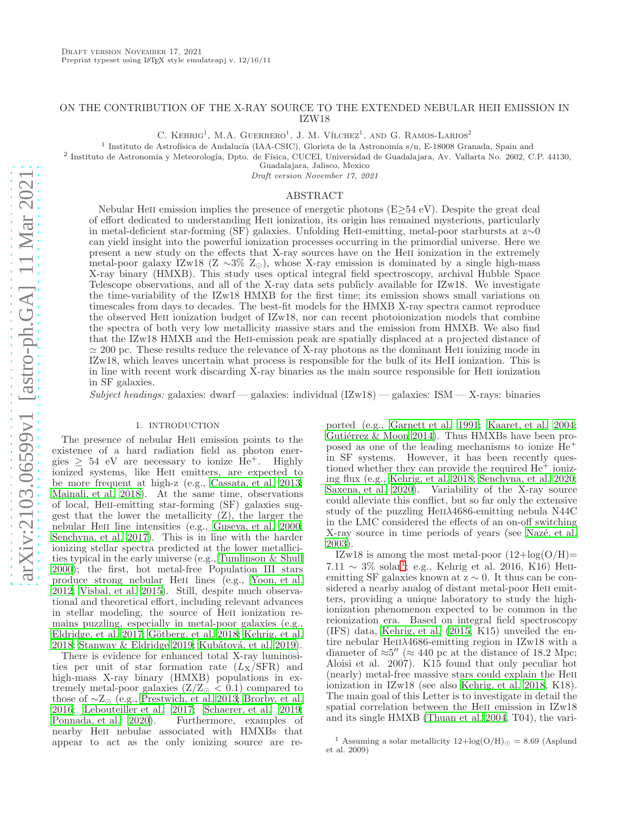# ON THE CONTRIBUTION OF THE X-RAY SOURCE TO THE EXTENDED NEBULAR HEII EMISSION IN IZW18

C. KEHRIG<sup>1</sup>, M.A. GUERRERO<sup>1</sup>, J. M. VÍLCHEZ<sup>1</sup>, AND G. RAMOS-LARIOS<sup>2</sup>

<sup>1</sup> Instituto de Astrofísica de Andalucía (IAA-CSIC), Glorieta de la Astronomía s/n, E-18008 Granada, Spain and

<sup>2</sup> Instituto de Astronomía y Meteorología, Dpto. de Física, CUCEI, Universidad de Guadalajara, Av. Vallarta No. 2602, C.P. 44130,

Guadalajara, Jalisco, Mexico

Draft version November 17, 2021

#### ABSTRACT

Nebular HeII emission implies the presence of energetic photons  $(E\geq 54 \text{ eV})$ . Despite the great deal of effort dedicated to understanding Heii ionization, its origin has remained mysterious, particularly in metal-deficient star-forming (SF) galaxies. Unfolding Heii-emitting, metal-poor starbursts at z∼0 can yield insight into the powerful ionization processes occurring in the primordial universe. Here we present a new study on the effects that X-ray sources have on the Heii ionization in the extremely metal-poor galaxy IZw18 (Z ∼3% Z⊙), whose X-ray emission is dominated by a single high-mass X-ray binary (HMXB). This study uses optical integral field spectroscopy, archival Hubble Space Telescope observations, and all of the X-ray data sets publicly available for IZw18. We investigate the time-variability of the IZw18 HMXB for the first time; its emission shows small variations on timescales from days to decades. The best-fit models for the HMXB X-ray spectra cannot reproduce the observed Heii ionization budget of IZw18, nor can recent photoionization models that combine the spectra of both very low metallicity massive stars and the emission from HMXB. We also find that the IZw18 HMXB and the Heii-emission peak are spatially displaced at a projected distance of  $\simeq 200$  pc. These results reduce the relevance of X-ray photons as the dominant HeII ionizing mode in IZw18, which leaves uncertain what process is responsible for the bulk of its HeII ionization. This is in line with recent work discarding X-ray binaries as the main source responsible for Heii ionization in SF galaxies.

Subject headings: galaxies: dwarf — galaxies: individual  $(IZw18)$  — galaxies: ISM — X-rays: binaries

#### 1. INTRODUCTION

The presence of nebular Heii emission points to the existence of a hard radiation field as photon energies  $\geq 54$  eV are necessary to ionize He<sup>+</sup>. Highly ionized systems, like Heii emitters, are expected to be more frequent at high-z (e.g., [Cassata, et al. 2013;](#page-6-0) [Mainali, et al. 2018\)](#page-6-1). At the same time, observations of local, HeII-emitting star-forming (SF) galaxies suggest that the lower the metallicity (Z), the larger the nebular HeII line intensities (e.g., [Guseva, et al. 2000;](#page-6-2) [Senchyna, et al. 2017\)](#page-6-3). This is in line with the harder ionizing stellar spectra predicted at the lower metallicities typical in the early universe (e.g., [Tumlinson & Shull](#page-6-4) [2000\)](#page-6-4); the first, hot metal-free Population III stars produce strong nebular Heii lines (e.g., [Yoon, et al.](#page-6-5) [2012;](#page-6-5) [Visbal, et al. 2015\)](#page-6-6). Still, despite much observational and theoretical effort, including relevant advances in stellar modeling, the source of HeII ionization remains puzzling, especially in metal-poor galaxies (e.g., [Eldridge, et al. 2017;](#page-6-7) Götberg, et al. 2018; [Kehrig, et al.](#page-6-9) [2018;](#page-6-9)  $\tilde{S}$ tanway & Eldridge 2019; Kubátová, et al. 2019).

There is evidence for enhanced total X-ray luminosities per unit of star formation rate  $(L_X/\text{SFR})$  and high-mass X-ray binary (HMXB) populations in extremely metal-poor galaxies  $(Z/Z_{\odot} < 0.1)$  compared to those of  $\sim Z_{\odot}$  (e.g., [Prestwich, et al. 2013](#page-6-12); [Brorby, et al.](#page-6-13) [2016;](#page-6-13) [Lebouteiller et al. 2017;](#page-6-14) [Schaerer, et al. 2019;](#page-6-15) [Ponnada, et al. 2020\)](#page-6-16). Furthermore, examples of nearby Heii nebulae associated with HMXBs that appear to act as the only ionizing source are re-

ported (e.g., [Garnett et al. 1991;](#page-6-17) [Kaaret, et al. 2004](#page-6-18); Gutiérrez  $\&$  Moon 2014). Thus HMXBs have been proposed as one of the leading mechanisms to ionize He<sup>+</sup> in SF systems. However, it has been recently questioned whether they can provide the required  $He<sup>+</sup>$  ionizing flux (e.g., [Kehrig, et al. 2018;](#page-6-9) [Senchyna, et al. 2020](#page-6-20); [Saxena, et al. 2020](#page-6-21)). Variability of the X-ray source could alleviate this conflict, but so far only the extensive study of the puzzling HeII $\lambda$ 4686-emitting nebula N44C in the LMC considered the effects of an on-off switching X-ray source in time periods of years (see Nazé, et al. [2003\)](#page-6-22).

IZw18 is among the most metal-poor  $(12 + \log(O/H))$ 7.[1](#page-0-0)1  $\sim$  3% solar<sup>1</sup>; e.g., Kehrig et al. 2016, K16) HeIIemitting SF galaxies known at  $z \sim 0$ . It thus can be considered a nearby analog of distant metal-poor He<sub>II</sub> emitters, providing a unique laboratory to study the highionization phenomenon expected to be common in the reionization era. Based on integral field spectroscopy (IFS) data, [Kehrig, et al. \(2015,](#page-6-23) K15) unveiled the entire nebular HeII $\lambda$ 4686-emitting region in IZw18 with a diameter of  $\approx 5''$  ( $\approx 440$  pc at the distance of 18.2 Mpc; Aloisi et al. 2007). K15 found that only peculiar hot (nearly) metal-free massive stars could explain the Heii ionization in IZw18 (see also [Kehrig, et al. 2018,](#page-6-9) K18). The main goal of this Letter is to investigate in detail the spatial correlation between the HeII emission in IZw18 and its single HMXB [\(Thuan et al. 2004,](#page-6-24) T04), the vari-

<span id="page-0-0"></span><sup>&</sup>lt;sup>1</sup> Assuming a solar metallicity  $12 + \log(O/H)_{\odot} = 8.69$  (Asplund et al. 2009)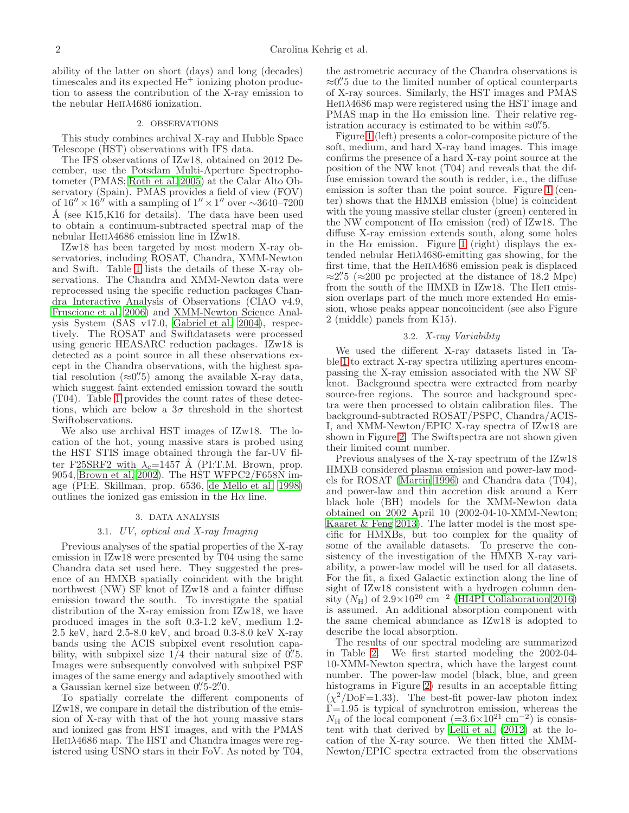ability of the latter on short (days) and long (decades) timescales and its expected  $He<sup>+</sup>$  ionizing photon production to assess the contribution of the X-ray emission to the nebular HeII $\lambda$ 4686 ionization.

# 2. OBSERVATIONS

This study combines archival X-ray and Hubble Space Telescope (HST) observations with IFS data.

The IFS observations of IZw18, obtained on 2012 December, use the Potsdam Multi-Aperture Spectrophotometer (PMAS; [Roth et al. 2005\)](#page-6-25) at the Calar Alto Observatory (Spain). PMAS provides a field of view (FOV) of  $16'' \times 16''$  with a sampling of  $1'' \times 1''$  over  $\sim 3640-7200$ Å (see K15, K16 for details). The data have been used to obtain a continuum-subtracted spectral map of the nebular He $II\lambda4686$  emission line in IZw18.

IZw18 has been targeted by most modern X-ray observatories, including ROSAT, Chandra, XMM-Newton and Swift. Table [1](#page-2-0) lists the details of these X-ray observations. The Chandra and XMM-Newton data were reprocessed using the specific reduction packages Chandra Interactive Analysis of Observations (CIAO v4.9, [Fruscione et al. 2006](#page-6-26)) and XMM-Newton Science Analysis System (SAS v17.0, [Gabriel et al. 2004\)](#page-6-27), respectively. The ROSAT and Swiftdatasets were processed using generic HEASARC reduction packages. IZw18 is detected as a point source in all these observations except in the Chandra observations, with the highest spatial resolution  $(\approx 0.^{\prime\prime}5)$  among the available X-ray data, which suggest faint extended emission toward the south (T04). Table [1](#page-2-0) provides the count rates of these detections, which are below a  $3\sigma$  threshold in the shortest Swiftobservations.

We also use archival HST images of IZw18. The location of the hot, young massive stars is probed using the HST STIS image obtained through the far-UV filter F25SRF2 with  $\lambda_c=1457$  Å (PI:T.M. Brown, prop. 9054, [Brown et al. 2002\)](#page-6-28). The HST WFPC2/F658N image (PI:E. Skillman, prop. 6536, [de Mello et al. 1998](#page-6-29)) outlines the ionized gas emission in the  $H\alpha$  line.

#### 3. DATA ANALYSIS

# 3.1. UV, optical and X-ray Imaging

Previous analyses of the spatial properties of the X-ray emission in IZw18 were presented by T04 using the same Chandra data set used here. They suggested the presence of an HMXB spatially coincident with the bright northwest (NW) SF knot of IZw18 and a fainter diffuse emission toward the south. To investigate the spatial distribution of the X-ray emission from IZw18, we have produced images in the soft 0.3-1.2 keV, medium 1.2- 2.5 keV, hard 2.5-8.0 keV, and broad 0.3-8.0 keV X-ray bands using the ACIS subpixel event resolution capability, with subpixel size  $1/4$  their natural size of  $0.75$ . Images were subsequently convolved with subpixel PSF images of the same energy and adaptively smoothed with a Gaussian kernel size between 0"5-2".

To spatially correlate the different components of IZw18, we compare in detail the distribution of the emission of X-ray with that of the hot young massive stars and ionized gas from HST images, and with the PMAS  $HeII\lambda4686$  map. The HST and Chandra images were registered using USNO stars in their FoV. As noted by T04,

the astrometric accuracy of the Chandra observations is ≈0" to the limited number of optical counterparts of X-ray sources. Similarly, the HST images and PMAS  $HeII\lambda4686$  map were registered using the HST image and PMAS map in the  $H\alpha$  emission line. Their relative registration accuracy is estimated to be within  $\approx 0\rlap{.}^{\prime\prime}5$ .

Figure [1](#page-2-1) (left) presents a color-composite picture of the soft, medium, and hard X-ray band images. This image confirms the presence of a hard X-ray point source at the position of the NW knot (T04) and reveals that the diffuse emission toward the south is redder, i.e., the diffuse emission is softer than the point source. Figure [1](#page-2-1) (center) shows that the HMXB emission (blue) is coincident with the young massive stellar cluster (green) centered in the NW component of  $H\alpha$  emission (red) of IZw18. The diffuse X-ray emission extends south, along some holes in the H $\alpha$  emission. Figure [1](#page-2-1) (right) displays the extended nebular  $HeII\lambda4686$ -emitting gas showing, for the first time, that the  $HeII\lambda4686$  emission peak is displaced ≈2".5 (≈200 pc projected at the distance of 18.2 Mpc) from the south of the HMXB in IZw18. The HeII emission overlaps part of the much more extended  $H\alpha$  emission, whose peaks appear noncoincident (see also Figure 2 (middle) panels from K15).

### 3.2. X-ray Variability

We used the different X-ray datasets listed in Table [1](#page-2-0) to extract X-ray spectra utilizing apertures encompassing the X-ray emission associated with the NW SF knot. Background spectra were extracted from nearby source-free regions. The source and background spectra were then processed to obtain calibration files. The background-subtracted ROSAT/PSPC, Chandra/ACIS-I, and XMM-Newton/EPIC X-ray spectra of IZw18 are shown in Figure [2.](#page-3-0) The Swiftspectra are not shown given their limited count number.

Previous analyses of the X-ray spectrum of the IZw18 HMXB considered plasma emission and power-law models for ROSAT [\(Martin 1996](#page-6-30)) and Chandra data (T04), and power-law and thin accretion disk around a Kerr black hole (BH) models for the XMM-Newton data obtained on 2002 April 10 (2002-04-10-XMM-Newton; [Kaaret & Feng 2013\)](#page-6-31). The latter model is the most specific for HMXBs, but too complex for the quality of some of the available datasets. To preserve the consistency of the investigation of the HMXB X-ray variability, a power-law model will be used for all datasets. For the fit, a fixed Galactic extinction along the line of sight of IZw18 consistent with a hydrogen column density  $(N_H)$  of 2.9×10<sup>20</sup> cm<sup>-2</sup> [\(HI4PI Collaboration 2016](#page-6-32)) is assumed. An additional absorption component with the same chemical abundance as IZw18 is adopted to describe the local absorption.

The results of our spectral modeling are summarized in Table [2.](#page-4-0) We first started modeling the 2002-04- 10-XMM-Newton spectra, which have the largest count number. The power-law model (black, blue, and green histograms in Figure [2\)](#page-3-0) results in an acceptable fitting  $(\chi^2/\text{DoF}=1.33)$ . The best-fit power-law photon index  $\Gamma$ =1.95 is typical of synchrotron emission, whereas the  $N_{\rm H}$  of the local component (=3.6×10<sup>21</sup> cm<sup>-2</sup>) is consistent with that derived by Lelli et al.  $(2012)$  at the location of the X-ray source. We then fitted the XMM-Newton/EPIC spectra extracted from the observations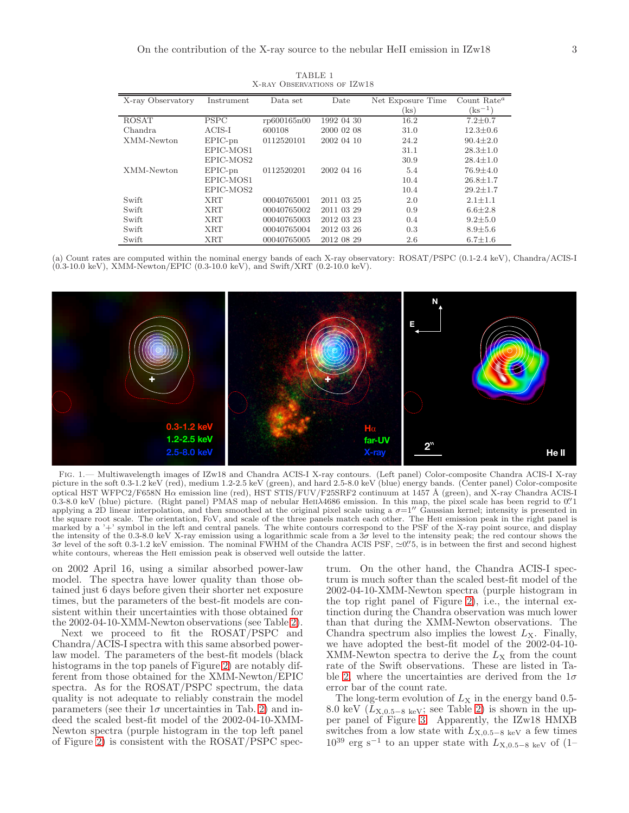<span id="page-2-0"></span>

| X-ray Observatory | Instrument  | Data set    | Date       | Net Exposure Time           | Count Rate <sup><math>a</math></sup> |
|-------------------|-------------|-------------|------------|-----------------------------|--------------------------------------|
|                   |             |             |            | $\left( \mathrm{ks}\right)$ | $\gamma_{\rm ks^{-1}}$               |
| ROSAT             | <b>PSPC</b> | rp600165n00 | 1992 04 30 | 16.2                        | $7.2 \pm 0.7$                        |
| Chandra           | $ACIS-I$    | 600108      | 2000 02 08 | 31.0                        | $12.3 \pm 0.6$                       |
| XMM-Newton        | $EPIC-pn$   | 0112520101  | 2002 04 10 | 24.2                        | $90.4 \pm 2.0$                       |
|                   | EPIC-MOS1   |             |            | 31.1                        | $28.3 \pm 1.0$                       |
|                   | EPIC-MOS2   |             |            | 30.9                        | $28.4 \pm 1.0$                       |
| XMM-Newton        | $EPIC-pn$   | 0112520201  | 2002 04 16 | 5.4                         | $76.9 \pm 4.0$                       |
|                   | EPIC-MOS1   |             |            | 10.4                        | $26.8 \pm 1.7$                       |
|                   | EPIC-MOS2   |             |            | 10.4                        | $29.2 \pm 1.7$                       |
| Swift             | <b>XRT</b>  | 00040765001 | 2011 03 25 | 2.0                         | $2.1 \pm 1.1$                        |
| Swift             | XRT         | 00040765002 | 2011 03 29 | 0.9                         | $6.6 \pm 2.8$                        |
| Swift             | XRT         | 00040765003 | 2012 03 23 | 0.4                         | $9.2 \pm 5.0$                        |
| Swift             | <b>XRT</b>  | 00040765004 | 2012 03 26 | 0.3                         | $8.9 \pm 5.6$                        |
| Swift             | <b>XRT</b>  | 00040765005 | 2012 08 29 | 2.6                         | $6.7 \pm 1.6$                        |

TABLE 1 X-RAY OBSERVATIONS OF IZW18

(a) Count rates are computed within the nominal energy bands of each X-ray observatory: ROSAT/PSPC (0.1-2.4 keV), Chandra/ACIS-I (0.3-10.0 keV), XMM-Newton/EPIC (0.3-10.0 keV), and Swift/XRT (0.2-10.0 keV).



<span id="page-2-1"></span>Fig. 1.— Multiwavelength images of IZw18 and Chandra ACIS-I X-ray contours. (Left panel) Color-composite Chandra ACIS-I X-ray picture in the soft 0.3-1.2 keV (red), medium 1.2-2.5 keV (green), and hard 2.5-8.0 keV (blue) energy bands. (Center panel) Color-composite optical HST WFPC2/F658N H $\alpha$  emission line (red), HST STIS/FUV/F25SRF2 continuum at 1457 Å (green), and X-ray Chandra ACIS-I 0.3-8.0 keV (blue) picture. (Right panel) PMAS map of nebular HeiiA4686 emission. In this map, the pixel scale has been regrid to 0.'' applying a 2D linear interpolation, and then smoothed at the original pixel scale using a  $\sigma=1''$  Gaussian kernel; intensity is presented in the square root scale. The orientation, FoV, and scale of the three panels match each other. The Heii emission peak in the right panel is marked by a '+' symbol in the left and central panels. The white contours correspond to the PSF of the X-ray point source, and display the intensity of the 0.3-8.0 keV X-ray emission using a logarithmic scale from a  $3\sigma$  level to the intensity peak; the red contour shows the 3σ level of the soft 0.3-1.2 keV emission. The nominal FWHM of the Chandra ACIS PSF, ≃0. 5, is in between the first and second highest white contours, whereas the Heii emission peak is observed well outside the latter.

on 2002 April 16, using a similar absorbed power-law model. The spectra have lower quality than those obtained just 6 days before given their shorter net exposure times, but the parameters of the best-fit models are consistent within their uncertainties with those obtained for the 2002-04-10-XMM-Newton observations (see Table [2\)](#page-4-0).

Next we proceed to fit the ROSAT/PSPC and Chandra/ACIS-I spectra with this same absorbed powerlaw model. The parameters of the best-fit models (black histograms in the top panels of Figure [2\)](#page-3-0) are notably different from those obtained for the XMM-Newton/EPIC spectra. As for the ROSAT/PSPC spectrum, the data quality is not adequate to reliably constrain the model parameters (see their  $1\sigma$  uncertainties in Tab. [2\)](#page-4-0) and indeed the scaled best-fit model of the 2002-04-10-XMM-Newton spectra (purple histogram in the top left panel of Figure [2\)](#page-3-0) is consistent with the ROSAT/PSPC spec-

trum. On the other hand, the Chandra ACIS-I spectrum is much softer than the scaled best-fit model of the 2002-04-10-XMM-Newton spectra (purple histogram in the top right panel of Figure [2\)](#page-3-0), i.e., the internal extinction during the Chandra observation was much lower than that during the XMM-Newton observations. The Chandra spectrum also implies the lowest  $L_X$ . Finally, we have adopted the best-fit model of the 2002-04-10- XMM-Newton spectra to derive the  $L_X$  from the count rate of the Swift observations. These are listed in Ta-ble [2,](#page-4-0) where the uncertainties are derived from the  $1\sigma$ error bar of the count rate.

The long-term evolution of  $L_X$  in the energy band 0.5-8.0 keV ( $L_{\text{X,0.5-8 keV}}$ ; see Table [2\)](#page-4-0) is shown in the upper panel of Figure [3.](#page-4-1) Apparently, the IZw18 HMXB switches from a low state with  $L_{X,0.5-8 \text{ keV}}$  a few times  $10^{39}$  erg s<sup>-1</sup> to an upper state with  $L_{\text{X,0.5-8 keV}}$  of (1–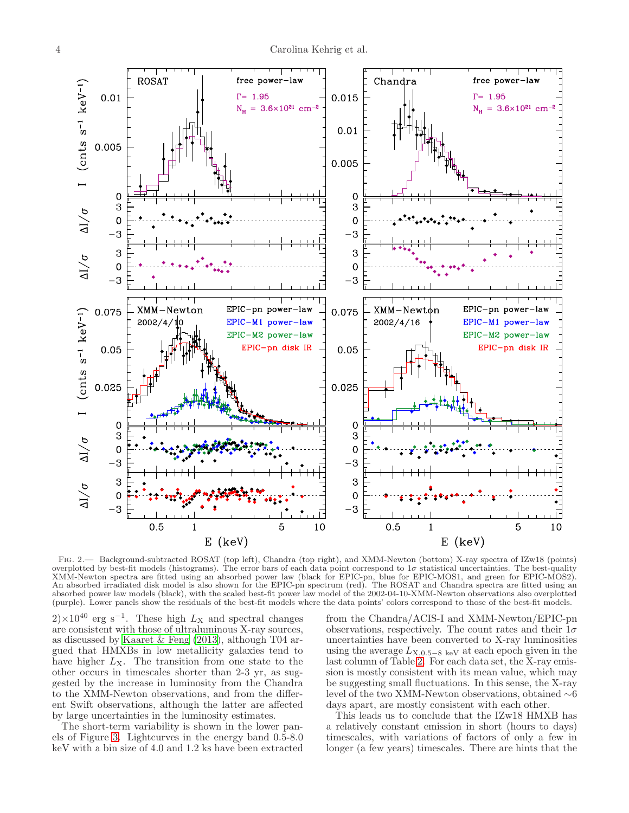

<span id="page-3-0"></span>Fig. 2.— Background-subtracted ROSAT (top left), Chandra (top right), and XMM-Newton (bottom) X-ray spectra of IZw18 (points) overplotted by best-fit models (histograms). The error bars of each data point correspond to  $1\sigma$  statistical uncertainties. The best-quality XMM-Newton spectra are fitted using an absorbed power law (black for EPIC-pn, blue for EPIC-MOS1, and green for EPIC-MOS2). An absorbed irradiated disk model is also shown for the EPIC-pn spectrum (red). The ROSAT and Chandra spectra are fitted using an absorbed power law models (black), with the scaled best-fit power law model of the 2002-04-10-XMM-Newton observations also overplotted (purple). Lower panels show the residuals of the best-fit models where the data points' colors correspond to those of the best-fit models.

 $2\times10^{40}$  erg s<sup>-1</sup>. These high  $L_{\rm X}$  and spectral changes are consistent with those of ultraluminous X-ray sources, as discussed by [Kaaret & Feng \(2013\)](#page-6-31), although T04 argued that HMXBs in low metallicity galaxies tend to have higher  $L<sub>X</sub>$ . The transition from one state to the other occurs in timescales shorter than 2-3 yr, as suggested by the increase in luminosity from the Chandra to the XMM-Newton observations, and from the different Swift observations, although the latter are affected by large uncertainties in the luminosity estimates.

The short-term variability is shown in the lower panels of Figure [3.](#page-4-1) Lightcurves in the energy band 0.5-8.0 keV with a bin size of 4.0 and 1.2 ks have been extracted

from the Chandra/ACIS-I and XMM-Newton/EPIC-pn observations, respectively. The count rates and their  $1\sigma$ uncertainties have been converted to X-ray luminosities using the average  $L_{\text{X,0.5–8 keV}}$  at each epoch given in the last column of Table [2.](#page-4-0) For each data set, the X-ray emission is mostly consistent with its mean value, which may be suggesting small fluctuations. In this sense, the X-ray level of the two XMM-Newton observations, obtained ∼6 days apart, are mostly consistent with each other.

This leads us to conclude that the IZw18 HMXB has a relatively constant emission in short (hours to days) timescales, with variations of factors of only a few in longer (a few years) timescales. There are hints that the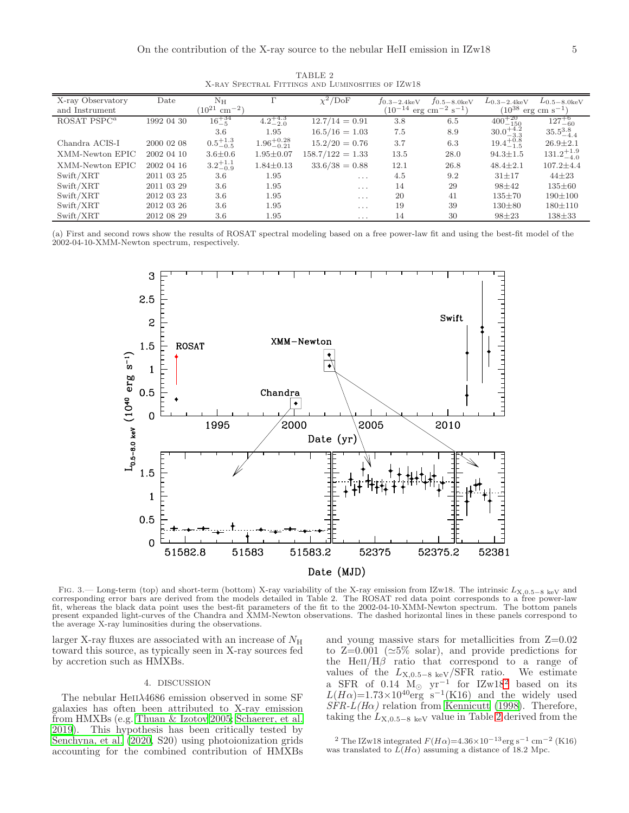<span id="page-4-0"></span>

| X-ray Observatory | Date       | $\rm N_H$                             |                        | $\chi^2$ /DoF      | $J_{0.3-2.4keV}$                                | $J_{0.5-8.0keV}$ | $L_{0.3-2.4\text{keV}}$               | $L_{0.5-8.0keV}$      |
|-------------------|------------|---------------------------------------|------------------------|--------------------|-------------------------------------------------|------------------|---------------------------------------|-----------------------|
| and Instrument    |            | $^{\prime}10^{21}$<br>$\rm cm^{-2}$ ) |                        |                    | $(10^{-14} \text{ erg cm}^{-2} \text{ s}^{-1})$ |                  | $(10^{38}$<br>$erg \text{ cm s}^{-1}$ |                       |
| ROSAT PSP $C^a$   | 1992 04 30 | $16^{+34}_{-5}$                       | $4.2^{+4.3}_{-2.0}$    | $12.7/14 = 0.91$   | 3.8                                             | 6.5              | $400^{+20}_{-150}$                    | $127^{+6}_{-60}$      |
|                   |            | 3.6                                   | 1.95                   | $16.5/16 = 1.03$   | 7.5                                             | 8.9              | $30.0^{+4.2}_{-3.3}$                  | $35.5^{3.8}_{-4.4}$   |
| Chandra ACIS-I    | 2000 02 08 | $0.5^{+1.3}_{-0.5}$                   | $1.96^{+0.28}_{-0.21}$ | $15.2/20 = 0.76$   | 3.7                                             | 6.3              | $19.4^{+0.8}_{-1.5}$                  | $26.9 \pm 2.1$        |
| XMM-Newton EPIC   | 2002 04 10 | $3.6 \pm 0.6$                         | $1.95 \pm 0.07$        | $158.7/122 = 1.33$ | 13.5                                            | 28.0             | $94.3 \pm 1.5$                        | $131.2^{+1.9}_{-4.0}$ |
| XMM-Newton EPIC   | 2002 04 16 | $3.2^{+1.1}_{-0.9}$                   | $1.84 \pm 0.13$        | $33.6/38 = 0.88$   | 12.1                                            | 26.8             | $48.4 \pm 2.1$                        | $107.2 \pm 4.4$       |
| Swift/XRT         | 2011 03 25 | 3.6                                   | 1.95                   | .                  | 4.5                                             | 9.2              | $31 + 17$                             | $44\pm23$             |
| Swift/XRT         | 2011 03 29 | 3.6                                   | 1.95                   | $\cdots$           | 14                                              | 29               | $98 + 42$                             | $135 \pm 60$          |
| Swift/XRT         | 2012 03 23 | 3.6                                   | 1.95                   | $\cdots$           | 20                                              | 41               | $135 \pm 70$                          | $190 \pm 100$         |
| Swift/XRT         | 2012 03 26 | 3.6                                   | 1.95                   | $\cdots$           | 19                                              | 39               | $130\pm80$                            | $180 \pm 110$         |
| Swift/XRT         | 2012 08 29 | 3.6                                   | 1.95                   | $\cdots$           | 14                                              | 30               | $98 + 23$                             | $138 + 33$            |

TABLE 2 X-ray Spectral Fittings and Luminosities of IZw18

(a) First and second rows show the results of ROSAT spectral modeling based on a free power-law fit and using the best-fit model of the 2002-04-10-XMM-Newton spectrum, respectively.



<span id="page-4-1"></span>FIG. 3.— Long-term (top) and short-term (bottom) X-ray variability of the X-ray emission from IZw18. The intrinsic  $L_{X,0.5-8 \text{ keV}}$  and corresponding error bars are derived from the models detailed in Table 2. The ROSAT red data point corresponds to a free power-law fit, whereas the black data point uses the best-fit parameters of the fit to the 2002-04-10-XMM-Newton spectrum. The bottom panels present expanded light-curves of the Chandra and XMM-Newton observations. The dashed horizontal lines in these panels correspond to the average X-ray luminosities during the observations.

larger X-ray fluxes are associated with an increase of  $N_{\rm H}$ toward this source, as typically seen in X-ray sources fed by accretion such as HMXBs.

# 4. DISCUSSION

The nebular HeII $\lambda$ 4686 emission observed in some SF galaxies has often been attributed to X-ray emission from HMXBs (e.g. [Thuan & Izotov 2005;](#page-6-34) [Schaerer, et al.](#page-6-15) [2019\)](#page-6-15). This hypothesis has been critically tested by [Senchyna, et al. \(2020,](#page-6-20) S20) using photoionization grids accounting for the combined contribution of HMXBs

and young massive stars for metallicities from  $Z=0.02$ to  $Z=0.001$  ( $\simeq 5\%$  solar), and provide predictions for the HeII/H $\beta$  ratio that correspond to a range of values of the  $L_{\text{X,0.5-8 keV}}/\text{SFR}$  ratio. We estimate a SFR of 0.14  $M_{\odot}$  yr<sup>-1</sup> for IZw18<sup>[2](#page-4-2)</sup> based on its  $L(H\alpha) = 1.73 \times 10^{40} \text{erg s}^{-1}$  (K16) and the widely used  $SFR-L(H\alpha)$  relation from [Kennicutt \(1998\)](#page-6-35). Therefore, taking the  $L_{X,0.5-8 \text{ keV}}$  value in Table [2](#page-4-0) derived from the

<span id="page-4-2"></span><sup>2</sup> The IZw18 integrated  $F(H\alpha) = 4.36 \times 10^{-13}$ erg s<sup>-1</sup> cm<sup>-2</sup> (K16) was translated to  $\widetilde{L}(H\alpha)$  assuming a distance of 18.2 Mpc.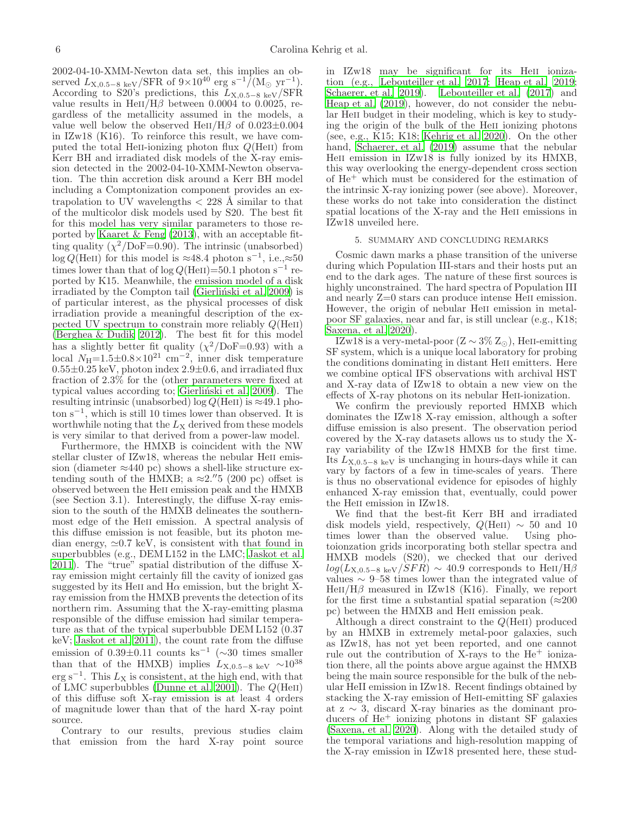2002-04-10-XMM-Newton data set, this implies an observed  $L_{\text{X,0.5–8 keV}}/\text{SFR}$  of  $9\times10^{40}$  erg s<sup>-1</sup>/(M<sub>o</sub> yr<sup>-1</sup>). According to S20's predictions, this  $L_{\text{X,0.5–8 keV}}/\text{SFR}$ value results in HeII/H $\beta$  between 0.0004 to 0.0025, regardless of the metallicity assumed in the models, a value well below the observed HeII/H $\beta$  of 0.023 $\pm$ 0.004 in IZw18 (K16). To reinforce this result, we have computed the total HeII-ionizing photon flux  $Q(HeII)$  from Kerr BH and irradiated disk models of the X-ray emission detected in the 2002-04-10-XMM-Newton observation. The thin accretion disk around a Kerr BH model including a Comptonization component provides an extrapolation to UV wavelengths  $\langle 228 \text{ Å } \sin \text{ilar} \rangle$  to that of the multicolor disk models used by S20. The best fit for this model has very similar parameters to those reported by [Kaaret & Feng \(2013\)](#page-6-31), with an acceptable fitting quality  $(\chi^2/\text{DoF}=0.90)$ . The intrinsic (unabsorbed) log Q(HeII) for this model is ≈48.4 photon s<sup>-1</sup>, i.e., ≈50 times lower than that of log  $Q(\text{HeII})=50.1$  photon s<sup>-1</sup> reported by K15. Meanwhile, the emission model of a disk irradiated by the Compton tail (Gierlinski et al. 2009) is of particular interest, as the physical processes of disk irradiation provide a meaningful description of the expected UV spectrum to constrain more reliably  $Q(HeII)$ (Berghea  $\&$  Dudik 2012). The best fit for this model has a slightly better fit quality  $(\chi^2/\text{DoF}=0.93)$  with a local  $N_{\text{H}}=1.5\pm0.8\times10^{21} \text{ cm}^{-2}$ , inner disk temperature  $0.55\pm0.25$  keV, photon index  $2.9\pm0.6$ , and irradiated flux fraction of 2.3% for the (other parameters were fixed at typical values according to; Gierliński et al. 2009). The resulting intrinsic (unabsorbed) log  $Q(\text{HeII})$  is  $\approx 49.1$  photon s<sup>−</sup><sup>1</sup> , which is still 10 times lower than observed. It is worthwhile noting that the  $L_X$  derived from these models is very similar to that derived from a power-law model.

Furthermore, the HMXB is coincident with the NW stellar cluster of IZw18, whereas the nebular HeII emission (diameter  $\approx$ 440 pc) shows a shell-like structure extending south of the HMXB; a  $\approx 2.^{''}5$  (200 pc) offset is observed between the Heii emission peak and the HMXB (see Section 3.1). Interestingly, the diffuse X-ray emission to the south of the HMXB delineates the southernmost edge of the HeII emission. A spectral analysis of this diffuse emission is not feasible, but its photon median energy,  $\simeq 0.7$  keV, is consistent with that found in superbubbles (e.g., DEM L152 in the LMC; [Jaskot et al.](#page-6-38) [2011\)](#page-6-38). The "true" spatial distribution of the diffuse Xray emission might certainly fill the cavity of ionized gas suggested by its HeII and  $H\alpha$  emission, but the bright Xray emission from the HMXB prevents the detection of its northern rim. Assuming that the X-ray-emitting plasma responsible of the diffuse emission had similar temperature as that of the typical superbubble DEM L152 (0.37 keV; [Jaskot et al. 2011\)](#page-6-38), the count rate from the diffuse emission of  $0.39 \pm 0.11$  counts ks<sup>-1</sup> (~30 times smaller than that of the HMXB) implies  $L_{\text{X,0.5-8 keV}} \sim 10^{38}$  $\text{erg s}^{-1}$ . This  $L_X$  is consistent, at the high end, with that of LMC superbubbles [\(Dunne et al. 2001\)](#page-6-39). The  $Q(\text{HeII})$ of this diffuse soft X-ray emission is at least 4 orders of magnitude lower than that of the hard X-ray point source.

Contrary to our results, previous studies claim that emission from the hard X-ray point source in IZw18 may be significant for its HeII ionization (e.g., [Lebouteiller et al. 2017;](#page-6-14) [Heap et al. 2019](#page-6-40); [Schaerer, et al. 2019\)](#page-6-15). Lebouteiller et al.  $(2017)$  and [Heap et al. \(2019\)](#page-6-40), however, do not consider the nebular HeII budget in their modeling, which is key to studying the origin of the bulk of the HeII ionizing photons (see, e.g., K15; K18; [Kehrig et al. 2020](#page-6-41)). On the other hand, [Schaerer, et al. \(2019\)](#page-6-15) assume that the nebular HeII emission in IZw18 is fully ionized by its HMXB, this way overlooking the energy-dependent cross section of He<sup>+</sup> which must be considered for the estimation of the intrinsic X-ray ionizing power (see above). Moreover, these works do not take into consideration the distinct spatial locations of the X-ray and the HeII emissions in IZw18 unveiled here.

#### 5. SUMMARY AND CONCLUDING REMARKS

Cosmic dawn marks a phase transition of the universe during which Population III-stars and their hosts put an end to the dark ages. The nature of these first sources is highly unconstrained. The hard spectra of Population III and nearly Z=0 stars can produce intense Heii emission. However, the origin of nebular HeII emission in metalpoor SF galaxies, near and far, is still unclear (e.g., K18; [Saxena, et al. 2020\)](#page-6-21).

IZw18 is a very-metal-poor  $(Z \sim 3\% Z_{\odot})$ , HeII-emitting SF system, which is a unique local laboratory for probing the conditions dominating in distant Heii emitters. Here we combine optical IFS observations with archival HST and X-ray data of IZw18 to obtain a new view on the effects of X-ray photons on its nebular He<sub>II</sub>-ionization.

We confirm the previously reported HMXB which dominates the IZw18 X-ray emission, although a softer diffuse emission is also present. The observation period covered by the X-ray datasets allows us to study the Xray variability of the IZw18 HMXB for the first time. Its  $L_{\text{X,0.5–8 keV}}$  is unchanging in hours-days while it can vary by factors of a few in time-scales of years. There is thus no observational evidence for episodes of highly enhanced X-ray emission that, eventually, could power the HeII emission in IZw18.

We find that the best-fit Kerr BH and irradiated disk models yield, respectively,  $Q(HeII) \sim 50$  and 10 times lower than the observed value. Using photoionzation grids incorporating both stellar spectra and HMXB models (S20), we checked that our derived  $log(L_{X,0.5-8~{\rm keV}}/SFR) \sim 40.9$  corresponds to HeII/H $\beta$ values  $∼ 9-58$  times lower than the integrated value of HeII/H $\beta$  measured in IZw18 (K16). Finally, we report for the first time a substantial spatial separation ( $\approx 200$ ) pc) between the HMXB and Heii emission peak.

Although a direct constraint to the  $Q(HeII)$  produced by an HMXB in extremely metal-poor galaxies, such as IZw18, has not yet been reported, and one cannot rule out the contribution of X-rays to the He<sup>+</sup> ionization there, all the points above argue against the HMXB being the main source responsible for the bulk of the nebular HeII emission in IZw18. Recent findings obtained by stacking the X-ray emission of Heii-emitting SF galaxies at z ∼ 3, discard X-ray binaries as the dominant producers of  $He<sup>+</sup>$  ionizing photons in distant SF galaxies [\(Saxena, et al. 2020\)](#page-6-21). Along with the detailed study of the temporal variations and high-resolution mapping of the X-ray emission in IZw18 presented here, these stud